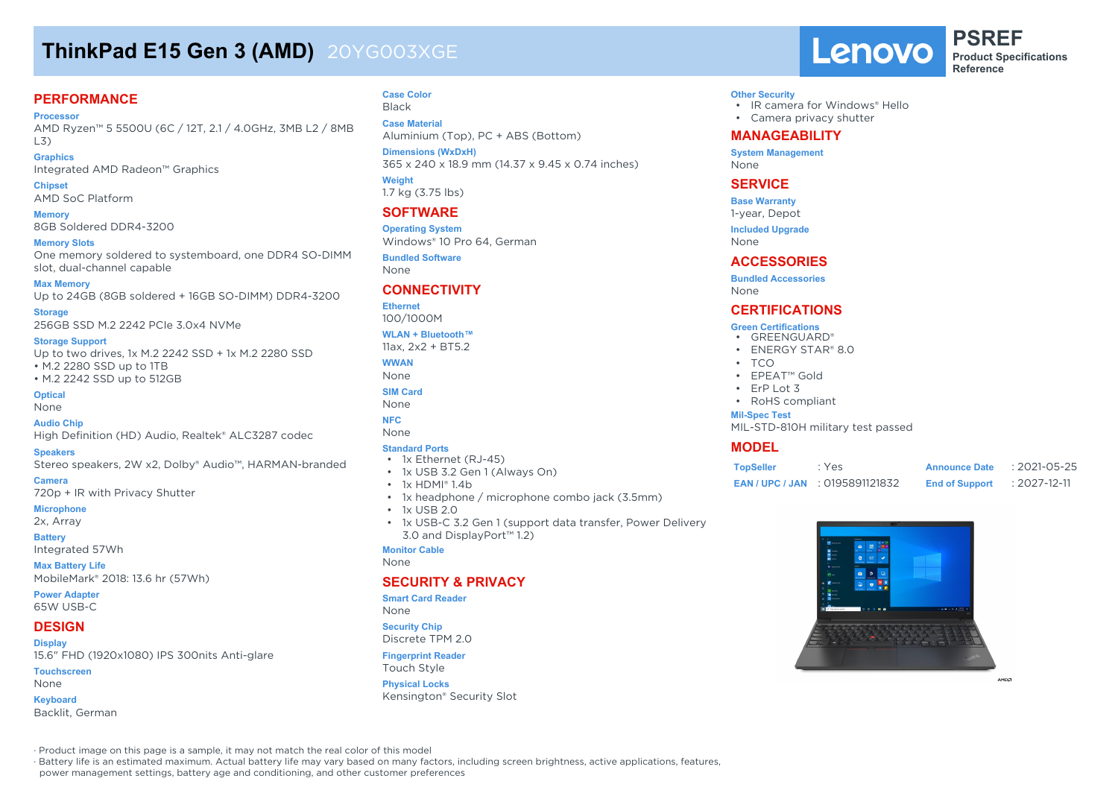# **ThinkPad E15 Gen 3 (AMD)** 20YG003XGE

## **PERFORMANCE**

**Processor**

AMD Ryzen™ 5 5500U (6C / 12T, 2.1 / 4.0GHz, 3MB L2 / 8MB L3)

#### **Graphics**

Integrated AMD Radeon™ Graphics

### **Chipset**

AMD SoC Platform

## **Memory**

8GB Soldered DDR4-3200

#### **Memory Slots**

One memory soldered to systemboard, one DDR4 SO-DIMM slot, dual-channel capable

#### **Max Memory**

Up to 24GB (8GB soldered + 16GB SO-DIMM) DDR4-3200

#### **Storage**

256GB SSD M.2 2242 PCIe 3.0x4 NVMe

#### **Storage Support**

Up to two drives, 1x M.2 2242 SSD + 1x M.2 2280 SSD • M.2 2280 SSD up to 1TB

• M.2 2242 SSD up to 512GB

### **Optical**

None

#### **Audio Chip**

High Definition (HD) Audio, Realtek® ALC3287 codec

#### **Speakers**

Stereo speakers, 2W x2, Dolby® Audio™, HARMAN-branded

#### **Camera**

720p + IR with Privacy Shutter

## **Microphone**

2x, Array **Battery**

## Integrated 57Wh

**Max Battery Life** MobileMark® 2018: 13.6 hr (57Wh)

#### **Power Adapter** 65W USB-C

## **DESIGN**

#### **Display**

15.6" FHD (1920x1080) IPS 300nits Anti-glare **Touchscreen**

#### None

**Keyboard** Backlit, German

#### **Case Color** Black

**Case Material** Aluminium (Top), PC + ABS (Bottom)

**Dimensions (WxDxH)** 365 x 240 x 18.9 mm (14.37 x 9.45 x 0.74 inches) **Weight** 1.7 kg (3.75 lbs)

## **SOFTWARE**

**Operating System** Windows® 10 Pro 64, German **Bundled Software**

None

## **CONNECTIVITY**

#### **Ethernet**

100/1000M **WLAN + Bluetooth™**

11ax, 2x2 + BT5.2

**WWAN** None

## **SIM Card**

None

## **NFC**

None

## **Standard Ports**

- 1x Ethernet (RJ-45)
- 1x USB 3.2 Gen 1 (Always On)
- $\cdot$  1x HDMI® 1.4b
- 1x headphone / microphone combo jack (3.5mm)
- 1x USB 2.0
- 1x USB-C 3.2 Gen 1 (support data transfer, Power Delivery 3.0 and DisplayPort™ 1.2)

#### **Monitor Cable**

None

### **SECURITY & PRIVACY**

**Smart Card Reader** None

## **Security Chip**

Discrete TPM 2.0

#### **Fingerprint Reader**

Touch Style

## **Physical Locks**

Kensington® Security Slot



- IR camera for Windows® Hello
- Camera privacy shutter

### **MANAGEABILITY**

**System Management** None

## **SERVICE**

**Base Warranty**

1-year, Depot

**Included Upgrade** None

#### **ACCESSORIES**

**Bundled Accessories** None

## **CERTIFICATIONS**

#### **Green Certifications**

- GREENGUARD®
- ENERGY STAR® 8.0
- TCO
- EPEAT™ Gold
- FrP I ot 3
- RoHS compliant

#### **Mil-Spec Test**

MIL-STD-810H military test passed

### **MODEL**

| <b>TopSeller</b> | : Yes                              | <b>Announce Date</b>  | $: 2021 - 05 - 25$ |
|------------------|------------------------------------|-----------------------|--------------------|
|                  | <b>EAN/UPC/JAN : 0195891121832</b> | <b>End of Support</b> | $: 2027 - 12 - 11$ |

**AMDJ** 

· Product image on this page is a sample, it may not match the real color of this model

· Battery life is an estimated maximum. Actual battery life may vary based on many factors, including screen brightness, active applications, features,

power management settings, battery age and conditioning, and other customer preferences